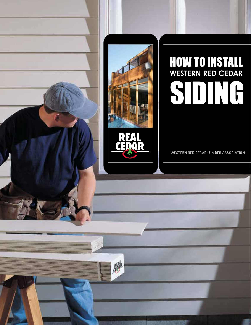# **HOW TO INSTALL**<br>WESTERN RED CEDAR SIDNG

WESTERN RED CEDAR LUMBER ASSOCIATION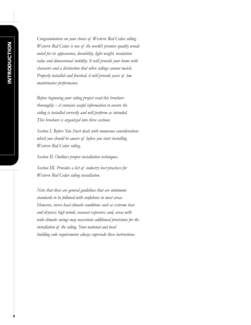*Congratulations on your choice of Western Red Cedar siding. Western Red Cedar is one of the world's premier quality woods noted for its appearance, durability, light weight, insulation value and dimensional stability. It will provide your home with character and a distinction that other sidings cannot match. Properly installed and finished, it will provide years of low maintenance performance.*

*Before beginning your siding project read this brochure thoroughly – it contains useful information to ensure the siding is installed correctly and will perform as intended. This brochure is organized into three sections.* 

*Section I. Before You Start deals with numerous considerations which you should be aware of before you start installing Western Red Cedar siding.* 

*Section II. Outlines proper installation techniques.* 

*Section III. Provides a list of industry best practices for Western Red Cedar siding installation.* 

*Note that these are general guidelines that are minimum standards to be followed with confidence in most areas. However, severe local climatic conditions such as extreme heat and dryness; high winds; seacoast exposure; and, areas with wide climatic swings may necessitate additional provisions for the installation of the siding. Your national and local building code requirements always supersede these instructions.*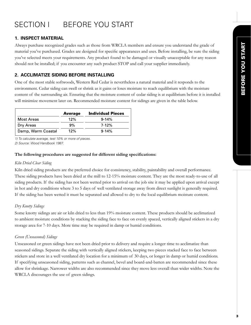# SECTION I BEFORE YOU START

# **1. INSPECT MATERIAL**

Always purchase recognized grades such as those from WRCLA members and ensure you understand the grade of material you've purchased. Grades are designed for specific appearances and uses. Before installing, be sure the siding you've selected meets your requirements. Any product found to be damaged or visually unacceptable for any reason should not be installed; if you encounter any such product STOP and call your supplier immediately.

# **2. ACCLIMATIZE SIDING BEFORE INSTALLING**

One of the most stable softwoods, Western Red Cedar is nevertheless a natural material and it responds to the environment. Cedar siding can swell or shrink as it gains or loses moisture to reach equilibrium with the moisture content of the surrounding air. Ensuring that the moisture content of cedar siding is at equilibrium before it is installed will minimize movement later on. Recommended moisture content for sidings are given in the table below.

|                    | <b>Average</b> | <b>Individual Pieces</b> |
|--------------------|----------------|--------------------------|
| Most Areas         | 12%            | $9 - 14%$                |
| Dry Areas          | 9%             | $7 - 12%$                |
| Damp, Warm Coastal | 12%            | $9 - 14%$                |

*1) To calculate average, test 10% or more of pieces.* 

*2) Source: Wood Handbook 1987.* 

#### **The following procedures are suggested for different siding specifications:**

#### *Kiln Dried Clear Siding*

Kiln dried siding products are the preferred choice for consistency, stability, paintability and overall performance. These siding products have been dried at the mill to 12-15% moisture content. They are the most ready-to-use of all siding products. If the siding has not been wetted prior to arrival on the job site it may be applied upon arrival except in hot and dry conditions where 3 to 5 days of well ventilated storage away from direct sunlight is generally required. If the siding has been wetted it must be separated and allowed to dry to the local equilibrium moisture content.

#### *Dry Knotty Sidings*

Some knotty sidings are air or kiln dried to less than 19% moisture content. These products should be acclimatized to ambient moisture conditions by stacking the siding face to face on evenly spaced, vertically aligned stickers in a dry storage area for 7-10 days. More time may be required in damp or humid conditions.

# *Green (Unseasoned) Sidings*

Unseasoned or green sidings have not been dried prior to delivery and require a longer time to acclimatize than seasoned sidings. Separate the siding with vertically aligned stickers, keeping two pieces stacked face to face between stickers and store in a well ventilated dry location for a minimum of 30 days, or longer in damp or humid conditions. If specifying unseasoned siding, patterns such as channel, bevel and board-and-batten are recommended since these allow for shrinkage. Narrower widths are also recommended since they move less overall than wider widths. Note the WRCLA discourages the use of green sidings.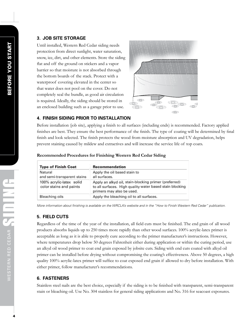## **3. JOB SITE STORAGE**

Until installed, Western Red Cedar siding needs protection from direct sunlight, water saturation, snow, ice, dirt, and other elements. Store the siding flat and off the ground on stickers and a vapor barrier so that moisture is not absorbed through the bottom boards of the stack. Protect with a waterproof covering elevated in the center so that water does not pool on the cover. Do not completely seal the bundle, as good air circulation is required. Ideally, the siding should be stored in an enclosed building such as a garage prior to use.



## **4. FINISH SIDING PRIOR TO INSTALLATION**

Before installation (job site), applying a finish to all surfaces (including ends) is recommended. Factory applied finishes are best. They ensure the best performance of the finish. The type of coating will be determined by final finish and look selected. The finish protects the wood from moisture absorption and UV degradation, helps prevent staining caused by mildew and extractives and will increase the service life of top coats.

| <b>Type of Finish Coat</b>                          | <b>Recommendation</b>                                                                                                                          |
|-----------------------------------------------------|------------------------------------------------------------------------------------------------------------------------------------------------|
| Natural<br>and semi-transparent stains              | Apply the oil based stain to<br>all surfaces.                                                                                                  |
| 100% acrylic-latex solid<br>color stains and paints | Apply an alkyd oil, stain-blocking primer (preferred)<br>to all surfaces. High quality water based stain blocking<br>primers may also be used. |
| Bleaching oils                                      | Apply the bleaching oil to all surfaces.                                                                                                       |

#### **Recommended Procedures for Finishing Western Red Cedar Siding**

*More information about finishing is available on the WRCLA's website and in the "How to Finish Western Red Cedar" publication.*

# **5. FIELD CUTS**

Regardless of the time of the year of the installation, all field cuts must be finished. The end grain of all wood products absorbs liquids up to 250 times more rapidly than other wood surfaces. 100% acrylic-latex primer is acceptable as long as it is able to properly cure according to the primer manufacturer's instructions. However, where temperatures drop below 50 degrees Fahrenheit either during application or within the curing period, use an alkyd oil wood primer to coat end grain exposed by jobsite cuts. Siding with end cuts coated with alkyd oil primer can be installed before drying without compromising the coating's effectiveness. Above 50 degrees, a high quality 100% acrylic-latex primer will suffice to coat exposed end grain if allowed to dry before installation. With either primer, follow manufacturer's recommendations.

# **6. FASTENERS**

Stainless steel nails are the best choice, especially if the siding is to be finished with transparent, semi-transparent stain or bleaching oil. Use No. 304 stainless for general siding applications and No. 316 for seacoast exposures.

WESTERN RED CEDAR SIDING

WESTERN RED CEDAR SOLL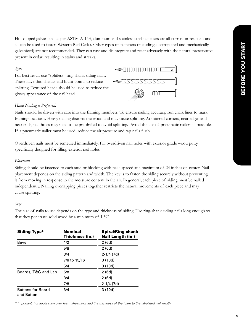Hot-dipped galvanized as per ASTM A-153, aluminum and stainless steel fasteners are all corrosion-resistant and all can be used to fasten Western Red Cedar. Other types of fasteners (including electroplated and mechanically galvanized) are not recommended. They can rust and disintegrate and react adversely with the natural preservative present in cedar, resulting in stains and streaks.

#### *Type*

For best result use "splitless" ring shank siding nails. These have thin shanks and blunt points to reduce splitting. Textured heads should be used to reduce the glossy appearance of the nail head.



#### *Hand Nailing is Preferred.*

Nails should be driven with care into the framing members. To ensure nailing accuracy, run chalk lines to mark framing locations. Heavy nailing distorts the wood and may cause splitting. At mitered corners, near edges and near ends, nail holes may need to be pre-drilled to avoid splitting. Avoid the use of pneumatic nailers if possible. If a pneumatic nailer must be used, reduce the air pressure and tap nails flush.

Overdriven nails must be remedied immediately. Fill overdriven nail holes with exterior grade wood putty specifically designed for filling exterior nail holes.

#### *Placement*

Siding should be fastened to each stud or blocking with nails spaced at a maximum of 24 inches on center. Nail placement depends on the siding pattern and width. The key is to fasten the siding securely without preventing it from moving in response to the moisture content in the air. In general, each piece of siding must be nailed independently. Nailing overlapping pieces together restricts the natural movements of each piece and may cause splitting.

#### *Size*

The size of nails to use depends on the type and thickness of siding. Use ring-shank siding nails long enough so that they penetrate solid wood by a minimum of  $1\frac{1}{4}$ ".

| <b>Siding Type*</b>                    | <b>Nominal</b><br>Thickness (in.) | <b>Spiral/Ring shank</b><br><b>Nail Length (in.)</b> |
|----------------------------------------|-----------------------------------|------------------------------------------------------|
| Bevel                                  | 1/2                               | 2(6d)                                                |
|                                        | 5/8                               | 2(6d)                                                |
|                                        | 3/4                               | $2 - 1/4$ (7d)                                       |
|                                        | 7/8 to 15/16                      | 3(10d)                                               |
|                                        | 5/4                               | 3(10d)                                               |
| Boards, T&G and Lap                    | 5/8                               | 2(6d)                                                |
|                                        | 3/4                               | 2(6d)                                                |
|                                        | 7/8                               | $2 - 1/4$ (7d)                                       |
| <b>Battens for Board</b><br>and Batten | 3/4                               | 3(10d)                                               |

*\* Important: For application over foam sheathing, add the thickness of the foam to the tabulated nail length.*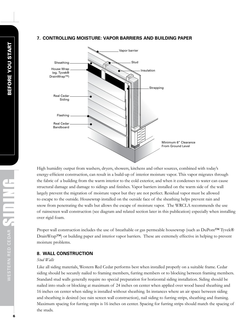#### **7. CONTROLLING MOISTURE: VAPOR BARRIERS AND BUILDING PAPER**



High humidity output from washers, dryers, showers, kitchens and other sources, combined with today's energy-efficient construction, can result in a build-up of interior moisture vapor. This vapor migrates through the fabric of a building from the warm interior to the cold exterior, and when it condenses to water can cause structural damage and damage to sidings and finishes. Vapor barriers installed on the warm side of the wall largely prevent the migration of moisture vapor but they are not perfect. Residual vapor must be allowed to escape to the outside. Housewrap installed on the outside face of the sheathing helps prevent rain and snow from penetrating the walls but allows the escape of moisture vapor. The WRCLA recommends the use of rainscreen wall construction (see diagram and related section later in this publication) especially when installing over rigid foam.

Proper wall construction includes the use of breathable or gas permeable housewrap (such as DuPont™ Tyvek® DrainWrap™) or building paper and interior vapor barriers. These are extremely effective in helping to prevent moisture problems.

#### **8. WALL CONSTRUCTION**

#### *Stud Walls*

Like all siding materials, Western Red Cedar performs best when installed properly on a suitable frame. Cedar siding should be securely nailed to framing members, furring members or to blocking between framing members. Standard stud walls generally require no special preparation for horizontal siding installation. Siding should be nailed into studs or blocking at maximum of 24 inches on center when applied over wood based sheathing and 16 inches on center when siding is installed without sheathing. In instances where an air space between siding and sheathing is desired (see rain screen wall construction), nail siding to furring strips, sheathing and framing. Maximum spacing for furring strips is 16 inches on center. Spacing for furring strips should match the spacing of the studs.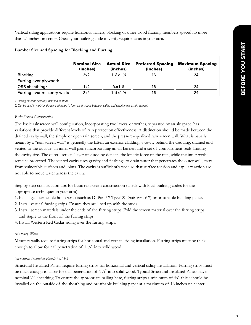Vertical siding applications require horizontal nailers, blocking or other wood framing members spaced no more than 24 inches on center. Check your building code to verify requirements in your area.

|                            | <b>Nominal Size</b><br>(inches) | <b>Actual Size</b><br>(inches)     | <b>Preferred Spacing</b><br>(inches) | <b>Maximum Spacing</b><br>(inches) |
|----------------------------|---------------------------------|------------------------------------|--------------------------------------|------------------------------------|
| <b>Blocking</b>            | 2x2                             | $1\frac{1}{2}$ x 1 $\frac{1}{2}$   | 16                                   | 24                                 |
| Furring over plywood/      |                                 |                                    |                                      |                                    |
| OSB sheathing <sup>2</sup> | 1x2                             | $\frac{3}{4} \times 1 \frac{1}{2}$ | 16                                   | 24                                 |
| Furring over masonry walls | 2x2                             | $1\frac{1}{2}$ x 1 $\frac{1}{2}$   | 16                                   | 24                                 |

#### **Lumber Size and Spacing for Blocking and Furring1**

*1. Furring must be securely fastened to studs.*

*2. Can be used in moist and severe climates to form an air space between siding and sheathing (i.e. rain screen).*

#### *Rain Screen Construction*

The basic rainscreen wall configuration, incorporating two layers, or wythes, separated by an air space, has variations that provide different levels of rain protection effectiveness. A distinction should be made between the drained cavity wall, the simple or open rain screen, and the pressure-equalized rain screen wall. What is usually meant by a "rain screen wall" is generally the latter: an exterior cladding, a cavity behind the cladding, drained and vented to the outside; an inner wall plane incorporating an air barrier; and a set of compartment seals limiting the cavity size. The outer "screen" layer of cladding deflects the kinetic force of the rain, while the inner wythe remains protected. The vented cavity uses gravity and flashings to drain water that penetrates the outer wall, away from vulnerable surfaces and joints. The cavity is sufficiently wide so that surface tension and capillary action are not able to move water across the cavity.

Step by step construction tips for basic rainscreen construction (check with local building codes for the appropriate techniques in your area):

- 1. Install gas permeable housewrap (such as DuPont™ Tyvek® DrainWrap™) or breathable building paper.
- 2. Install vertical furring strips. Ensure they are lined up with the studs.
- 3. Install screen materials under the ends of the furring strips. Fold the screen material over the furring strips and staple to the front of the furring strips.
- 4. Install Western Red Cedar siding over the furring strips.

#### *Masonry Walls*

Masonry walls require furring strips for horizontal and vertical siding installation. Furring strips must be thick enough to allow for nail penetration of  $1\frac{1}{4}$  into solid wood.

#### *Structural Insulated Panels (S.I.P.)*

Structural Insulated Panels require furring strips for horizontal and vertical siding installation. Furring strips must be thick enough to allow for nail penetration of 1¼" into solid wood. Typical Structural Insulated Panels have nominal ½" sheathing. To ensure the appropriate nailing base, furring strips a minimum of ¾" thick should be installed on the outside of the sheathing and breathable building paper at a maximum of 16 inches on center.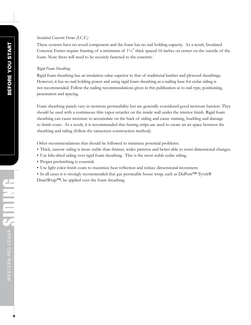#### *Insulated Concrete Forms (I.C.F.)*

These systems have no wood component and the foam has no nail holding capacity. As a result, Insulated Concrete Forms require framing of a minimum of  $1/4$ " thick spaced 16 inches on center on the outside of the foam. Note these will need to be securely fastened to the concrete.

#### *Rigid Foam Sheathing*

Rigid foam sheathing has an insulation value superior to that of traditional lumber and plywood sheathings. However, it has no nail holding power and using rigid foam sheathing as a nailing base for cedar siding is not recommended. Follow the nailing recommendations given in this publication as to nail type, positioning, penetration and spacing.

Foam sheathing panels vary in moisture permeability but are generally considered good moisture barriers. They should be used with a continuous film vapor retarder on the inside wall under the interior finish. Rigid foam sheathing can cause moisture to accumulate on the back of siding and cause staining, buckling and damage to finish coats. As a result, it is recommended that furring strips are used to create an air space between the sheathing and siding (follow the rainscreen construction method).

Other recommendations that should be followed to minimize potential problems:

- Thick, narrow siding is more stable than thinner, wider patterns and better able to resist dimensional changes.
- Use kiln-dried siding over rigid foam sheathing. This is the most stable cedar siding.
- Proper prefinishing is essential.
- Use light color finish coats to maximize heat reflection and reduce dimensional movement.
- In all cases it is strongly recommended that gas permeable house wrap, such as DuPont™ Tyvek® DrainWrap™, be applied over the foam sheathing.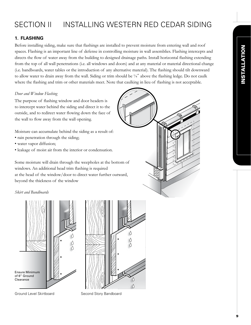# SECTION II INSTALLING WESTERN RED CEDAR SIDING

# **1. FLASHING**

Before installing siding, make sure that flashings are installed to prevent moisture from entering wall and roof spaces. Flashing is an important line of defense in controlling moisture in wall assemblies. Flashing intercepts and directs the flow of water away from the building to designed drainage paths. Install horizontal flashing extending from the top of all wall penetrations (i.e. all windows and doors) and at any material or material directional change (i.e. bandboards, water tables or the introduction of any alternative material). The flashing should tilt downward to allow water to drain away from the wall. Siding or trim should be ¼" above the flashing ledge. Do not caulk where the flashing and trim or other materials meet. Note that caulking in lieu of flashing is not acceptable.

#### *Door and Window Flashing*

The purpose of flashing window and door headers is to intercept water behind the siding and direct it to the outside, and to redirect water flowing down the face of the wall to flow away from the wall opening.

Moisture can accumulate behind the siding as a result of:

- rain penetration through the siding;
- water vapor diffusion;
- leakage of moist air from the interior or condensation.

Some moisture will drain through the weepholes at the bottom of windows. An additional head trim flashing is required at the head of the window/door to direct water further outward, beyond the thickness of the window

#### *Skirt and Bandboards*





Ground Level Skirtboard Second Story Bandboard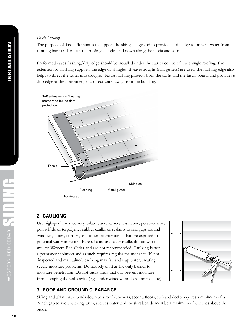#### *Fascia Flashing*

The purpose of fascia flashing is to support the shingle edge and to provide a drip edge to prevent water from running back underneath the roofing shingles and down along the fascia and soffit.

Preformed eaves flashing/drip edge should be installed under the starter course of the shingle roofing. The extension of flashing supports the edge of shingles. If eavestroughs (rain gutters) are used, the flashing edge also helps to direct the water into troughs. Fascia flashing protects both the soffit and the fascia board, and provides a drip edge at the bottom edge to direct water away from the building.



#### **2. CAULKING**

Use high-performance acrylic-latex, acrylic, acrylic-silicone, polyurethane, polysulfide or terpolymer rubber caulks or sealants to seal gaps around windows, doors, corners, and other exterior joints that are exposed to potential water intrusion. Pure silicone and clear caulks do not work well on Western Red Cedar and are not recommended. Caulking is not a permanent solution and as such requires regular maintenance. If not inspected and maintained, caulking may fail and trap water, creating severe moisture problems. Do not rely on it as the only barrier to moisture penetration. Do not caulk areas that will prevent moisture from escaping the wall cavity (e.g., under windows and around flashing).



#### **3. ROOF AND GROUND CLEARANCE**

Siding and Trim that extends down to a roof (dormers, second floors, etc.) and decks requires a minimum of a 2-inch gap to avoid wicking. Trim, such as water table or skirt boards must be a minimum of 6 inches above the grade.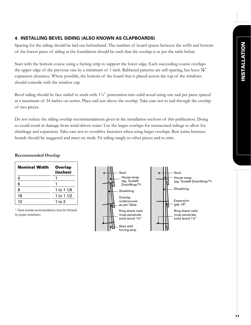# **4. INSTALLING BEVEL SIDING (ALSO KNOWN AS CLAPBOARDS)**

Spacing for the siding should be laid out beforehand. The number of board spaces between the soffit and bottom of the lowest piece of siding at the foundation should be such that the overlap is as per the table below.

Start with the bottom course using a furring strip to support the lower edge. Each succeeding course overlaps the upper edge of the previous one by a minimum of 1 inch. Rabbeted patterns are self-spacing, but leave  $\mathcal{V}^{\bullet}$ expansion clearance. Where possible, the bottom of the board that is placed across the top of the windows should coincide with the window cap.

Bevel siding should be face nailed to studs with 1¼" penetration into solid wood using one nail per piece spaced at a maximum of 24 inches on center. Place nail just above the overlap. Take care not to nail through the overlap of two pieces.

Do not reduce the siding overlap recommendations given in the installation sections of this publication. Doing so could result in damage from wind-driven water. Use the larger overlaps for unseasoned sidings to allow for shrinkage and expansion. Take care not to overdrive fasteners when using larger overlaps. Butt joints between boards should be staggered and meet on studs. Fit siding snugly to other pieces and to trim.

#### **Recommended Overlap**

| Nominal Width | <b>Overlap</b><br>(inches) |  |
|---------------|----------------------------|--|
|               | 1                          |  |
| 6             |                            |  |
| 8             | 1 to 1 1/8                 |  |
| 10            | 1 to 1 1/2                 |  |
| 12            | 1 to 2                     |  |

*\* These overlap recommendations must be followed for proper installation.*

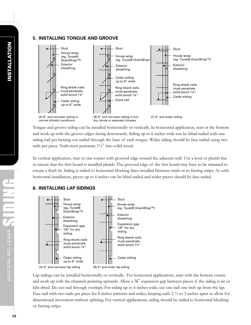## **5. INSTALLING TONGUE AND GROOVE**



Tongue and groove siding can be installed horizontally or vertically. In horizontal application, start at the bottom and work up with the groove edges facing downwards. Siding up to 6 inches wide can be blind nailed with one siding nail per bearing toe-nailed through the base of each tongue. Wider siding should be face nailed using two nails per piece. Nails must penetrate 1¼" into solid wood.

In vertical application, start at one corner with grooved edge toward the adjacent wall. Use a level or plumb line to ensure that the first board is installed plumb. The grooved edge of the first board may have to be trimmed to ensure a flush fit. Siding is nailed to horizontal blocking lines installed between studs or to furring strips. As with horizontal installation, pieces up to 6 inches can be blind nailed and wider pieces should be face nailed.

# **6. INSTALLING LAP SIDINGS**



Lap sidings can be installed horizontally or vertically. For horizontal applications, start with the bottom course and work up with the channels pointing upwards. Allow a  $\frac{1}{8}$  expansion gap between pieces if the siding is air or kiln-dried. Do not nail through overlaps. For siding up to 6 inches wide, use one nail one inch up from the lap. Face nail with two nails per piece for 8 inches patterns and wider, keeping nails 2 ½ to 3 inches apart to allow for dimensional movement without splitting. For vertical applications, siding should be nailed to horizontal blocking or furring strips.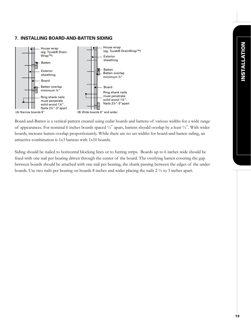# **7. INSTALLING BOARD-AND-BATTEN SIDING**



Board-and-Batten is a vertical pattern created using cedar boards and battens of various widths for a wide range of appearances. For nominal 6 inches boards spaced ½" apart, battens should overlap by a least ½". With wider boards, increase batten overlap proportionately. While there are no set widths for board-and-batten siding, an attractive combination is 1x3 battens with 1x10 boards.

Siding should be nailed to horizontal blocking lines or to furring strips. Boards up to 6 inches wide should be fixed with one nail per bearing driven through the center of the board. The overlying batten covering the gap between boards should be attached with one nail per bearing, the shank passing between the edges of the under boards. Use two nails per bearing on boards 8 inches and wider placing the nails 2 ½ to 3 inches apart.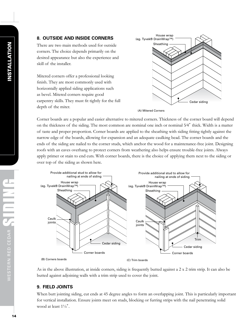There are two main methods used for outside corners. The choice depends primarily on the desired appearance but also the experience and skill of the installer.

Mitered corners offer a professional looking finish. They are most commonly used with horizontally applied siding applications such as bevel. Mitered corners require good carpentry skills. They must fit tightly for the full depth of the miter.



(A) Mitered Corners

Corner boards are a popular and easier alternative to mitered corners. Thickness of the corner board will depend on the thickness of the siding. The most common are nominal one inch or nominal 5⁄4" thick. Width is a matter of taste and proper proportion. Corner boards are applied to the sheathing with siding fitting tightly against the narrow edge of the boards, allowing for expansion and an adequate caulking bead. The corner boards and the ends of the siding are nailed to the corner studs, which anchor the wood for a maintenance-free joint. Designing roofs with an eaves overhang to protect corners from weathering also helps ensure trouble-free joints. Always apply primer or stain to end cuts. With corner boards, there is the choice of applying them next to the siding or over top of the siding as shown here.



As in the above illustration, at inside corners, siding is frequently butted against a 2 x 2 trim strip. It can also be butted against adjoining walls with a trim strip used to cover the joint.

# **9. FIELD JOINTS**

When butt jointing siding, cut ends at 45 degree angles to form an overlapping joint. This is particularly important for vertical installation. Ensure joints meet on studs, blocking or furring strips with the nail penetrating solid wood at least 1¼".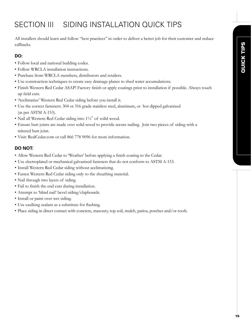# SECTION III SIDING INSTALLATION QUICK TIPS

All installers should learn and follow "best practices" in order to deliver a better job for their customer and reduce callbacks.

# **DO:**

- Follow local and national building codes.
- Follow WRCLA installation instructions.
- Purchase from WRCLA members, distributors and retailers.
- Use construction techniques to create easy drainage planes to shed water accumulations.
- Finish Western Red Cedar ASAP! Factory finish or apply coatings prior to installation if possible. Always touch up field cuts.
- 'Acclimatize' Western Red Cedar siding before you install it.
- Use the correct fasteners: 304 or 316 grade stainless steel, aluminum, or hot dipped galvanized (as per ASTM A-153).
- Nail all Western Red Cedar siding into 1¼" of solid wood.
- Ensure butt joints are made over solid wood to provide secure nailing. Join two pieces of siding with a mitered butt joint.
- Visit: RealCedar.com or call 866 778 9096 for more information.

# **DO NOT:**

- Allow Western Red Cedar to 'Weather' before applying a finish coating to the Cedar.
- Use electroplated or mechanical galvanized fasteners that do not conform to ASTM A-153.
- Install Western Red Cedar siding without acclimatizing.
- Fasten Western Red Cedar siding only to the sheathing material.
- Nail through two layers of siding.
- Fail to finish the end cuts during installation.
- Attempt to 'blind nail' bevel siding/clapboards.
- Install or paint over wet siding.
- Use caulking sealant as a substitute for flashing.
- Place siding in direct contact with concrete, masonry, top soil, mulch, patios, porches and/or roofs.